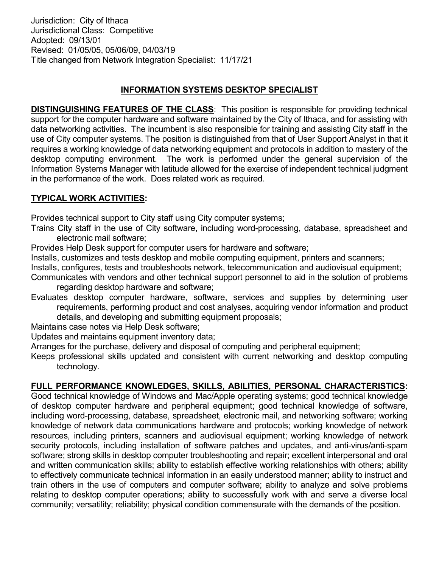Jurisdiction: City of Ithaca Jurisdictional Class: Competitive Adopted: 09/13/01 Revised: 01/05/05, 05/06/09, 04/03/19 Title changed from Network Integration Specialist: 11/17/21

# INFORMATION SYSTEMS DESKTOP SPECIALIST

**DISTINGUISHING FEATURES OF THE CLASS:** This position is responsible for providing technical support for the computer hardware and software maintained by the City of Ithaca, and for assisting with data networking activities. The incumbent is also responsible for training and assisting City staff in the use of City computer systems. The position is distinguished from that of User Support Analyst in that it requires a working knowledge of data networking equipment and protocols in addition to mastery of the desktop computing environment. The work is performed under the general supervision of the Information Systems Manager with latitude allowed for the exercise of independent technical judgment in the performance of the work. Does related work as required.

## TYPICAL WORK ACTIVITIES:

Provides technical support to City staff using City computer systems;

- Trains City staff in the use of City software, including word-processing, database, spreadsheet and electronic mail software;
- Provides Help Desk support for computer users for hardware and software;

Installs, customizes and tests desktop and mobile computing equipment, printers and scanners;

- Installs, configures, tests and troubleshoots network, telecommunication and audiovisual equipment;
- Communicates with vendors and other technical support personnel to aid in the solution of problems regarding desktop hardware and software;
- Evaluates desktop computer hardware, software, services and supplies by determining user requirements, performing product and cost analyses, acquiring vendor information and product details, and developing and submitting equipment proposals;
- Maintains case notes via Help Desk software;
- Updates and maintains equipment inventory data;

Arranges for the purchase, delivery and disposal of computing and peripheral equipment;

Keeps professional skills updated and consistent with current networking and desktop computing technology.

## FULL PERFORMANCE KNOWLEDGES, SKILLS, ABILITIES, PERSONAL CHARACTERISTICS:

Good technical knowledge of Windows and Mac/Apple operating systems; good technical knowledge of desktop computer hardware and peripheral equipment; good technical knowledge of software, including word-processing, database, spreadsheet, electronic mail, and networking software; working knowledge of network data communications hardware and protocols; working knowledge of network resources, including printers, scanners and audiovisual equipment; working knowledge of network security protocols, including installation of software patches and updates, and anti-virus/anti-spam software; strong skills in desktop computer troubleshooting and repair; excellent interpersonal and oral and written communication skills; ability to establish effective working relationships with others; ability to effectively communicate technical information in an easily understood manner; ability to instruct and train others in the use of computers and computer software; ability to analyze and solve problems relating to desktop computer operations; ability to successfully work with and serve a diverse local community; versatility; reliability; physical condition commensurate with the demands of the position.